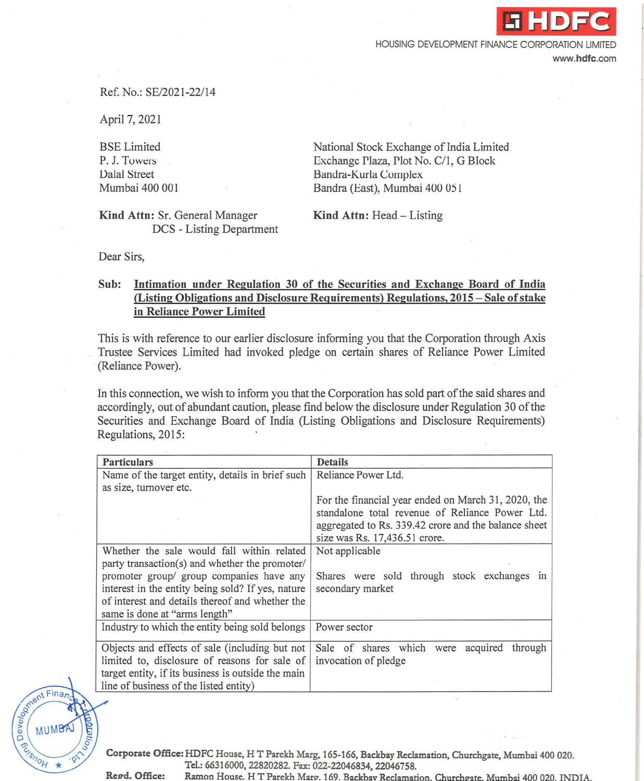HOUSING DEVELOPMENT FINANCE CORPORATION LIMITED

www.hdfc.com

.i **HDFC** 

## Ref. No.: SE/2021 -22/14

April 7, 2021

BSE Limited P. J. Towers Dalal Street Mumbai 400 001 National Stock Exchange of India Limited Exchange Plaza, Plot No. C/1, G Block Bandra-Kurla Complex Bandra (East), Mumbai 400 051

Kind Attn: Sr. General Manager DCS - Listing Department Kind Attn: Head - Listing

Dear Sirs,

Strent Finance

DONSON DO

## Sub: Intimation under Regulation 30 of the Securities and Exchange Board of India (Listing Obligations and Disclosure Requirements) Regulations, 2015 - Sale of stake in Reliance Power Limited

This is with reference to our earlier disclosure informing you that the Corporation through Axis Trustee Services Limited had invoked pledge on certain shares of Reliance Power Limited (Reliance Power).

In this connection, we wish to inform you that the Corporation has sold part of the said shares and accordingly, out of abundant caution, please find below the disclosure under Regulation 30 of the Securities and Exchange Board of India (Listing Obligations and Disclosure Requirements) Regulations, 2015:

| <b>Particulars</b>                                 | <b>Details</b>                                       |
|----------------------------------------------------|------------------------------------------------------|
| Name of the target entity, details in brief such   | Reliance Power Ltd.                                  |
| as size, turnover etc.                             |                                                      |
|                                                    | For the financial year ended on March 31, 2020, the  |
|                                                    | standalone total revenue of Reliance Power Ltd.      |
|                                                    | aggregated to Rs. 339.42 crore and the balance sheet |
|                                                    | size was Rs. 17,436.51 crore.                        |
| Whether the sale would fall within related         | Not applicable                                       |
| party transaction(s) and whether the promoter/     |                                                      |
| promoter group/ group companies have any           | Shares were sold through stock exchanges in          |
| interest in the entity being sold? If yes, nature  | secondary market                                     |
| of interest and details thereof and whether the    |                                                      |
| same is done at "arms length"                      |                                                      |
| Industry to which the entity being sold belongs    | Power sector                                         |
| Objects and effects of sale (including but not     | Sale of shares which were acquired<br>through        |
| limited to, disclosure of reasons for sale of      | invocation of pledge                                 |
| target entity, if its business is outside the main |                                                      |
| line of business of the listed entity)             |                                                      |

Corporate Office: HDFC House, H T Parekh Marg, 165-166, Backbay Reclamation, Churchgate, Mumbai 400 020. Td.: 66316000, 22820282. Fax: 022-22046834, 22046758.

Regd. Office: Ramon House. HT Parekh Marg 169. Backbay Reclamation. Churchgate. Mumbai 400.020. INDIA